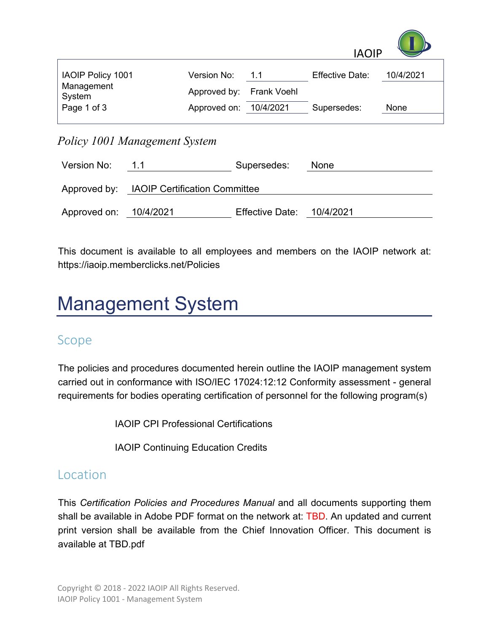

| <b>IAOIP Policy 1001</b> | Version No:              | 11 | <b>Effective Date:</b> | 10/4/2021 |
|--------------------------|--------------------------|----|------------------------|-----------|
| Management<br>System     | Approved by: Frank Voehl |    |                        |           |
| Page 1 of 3              | Approved on: 10/4/2021   |    | Supersedes:            | None      |

*Policy 1001 Management System*

| Version No:            | 1.1                                        | Supersedes:               | <b>None</b> |  |  |
|------------------------|--------------------------------------------|---------------------------|-------------|--|--|
|                        | Approved by: IAOIP Certification Committee |                           |             |  |  |
| Approved on: 10/4/2021 |                                            | Effective Date: 10/4/2021 |             |  |  |

This document is available to all employees and members on the IAOIP network at: https://iaoip.memberclicks.net/Policies

# Management System

#### Scope

The policies and procedures documented herein outline the IAOIP management system carried out in conformance with ISO/IEC 17024:12:12 Conformity assessment - general requirements for bodies operating certification of personnel for the following program(s)

IAOIP CPI Professional Certifications

IAOIP Continuing Education Credits

#### Location

This *Certification Policies and Procedures Manual* and all documents supporting them shall be available in Adobe PDF format on the network at: TBD. An updated and current print version shall be available from the Chief Innovation Officer. This document is available at TBD.pdf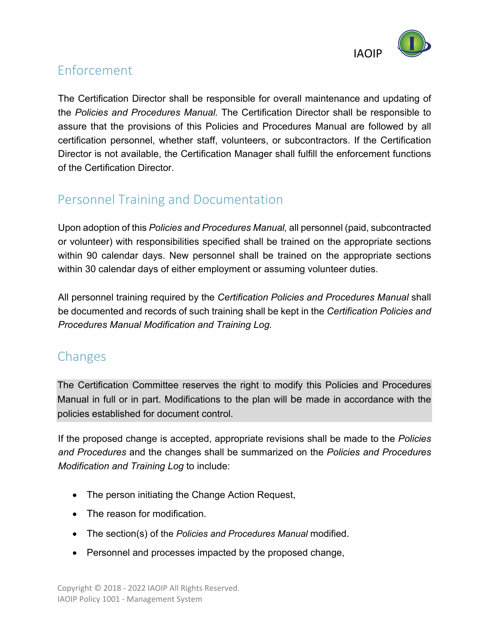

# Enforcement

The Certification Director shall be responsible for overall maintenance and updating of the *Policies and Procedures Manual.* The Certification Director shall be responsible to assure that the provisions of this Policies and Procedures Manual are followed by all certification personnel, whether staff, volunteers, or subcontractors. If the Certification Director is not available, the Certification Manager shall fulfill the enforcement functions of the Certification Director.

# Personnel Training and Documentation

Upon adoption of this *Policies and Procedures Manual,* all personnel (paid, subcontracted or volunteer) with responsibilities specified shall be trained on the appropriate sections within 90 calendar days. New personnel shall be trained on the appropriate sections within 30 calendar days of either employment or assuming volunteer duties.

All personnel training required by the *Certification Policies and Procedures Manual* shall be documented and records of such training shall be kept in the *Certification Policies and Procedures Manual Modification and Training Log.*

# Changes

The Certification Committee reserves the right to modify this Policies and Procedures Manual in full or in part. Modifications to the plan will be made in accordance with the policies established for document control.

If the proposed change is accepted, appropriate revisions shall be made to the *Policies and Procedures* and the changes shall be summarized on the *Policies and Procedures Modification and Training Log* to include:

- The person initiating the Change Action Request,
- The reason for modification.
- The section(s) of the *Policies and Procedures Manual* modified.
- Personnel and processes impacted by the proposed change,